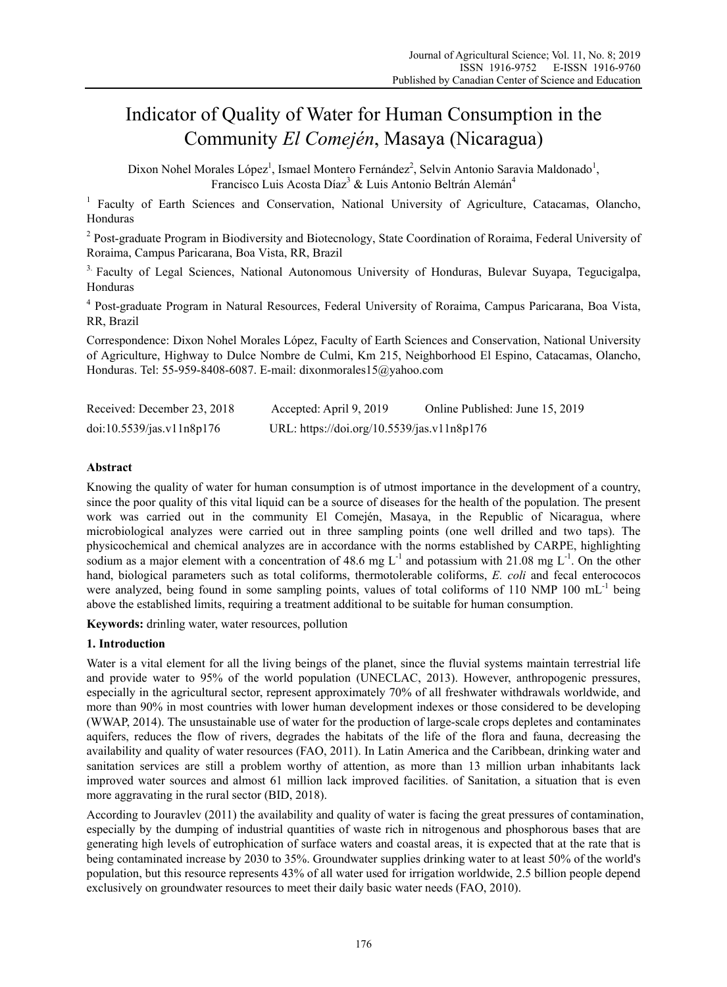# Indicator of Quality of Water for Human Consumption in the Community *El Comején*, Masaya (Nicaragua)

Dixon Nohel Morales López<sup>1</sup>, Ismael Montero Fernández<sup>2</sup>, Selvin Antonio Saravia Maldonado<sup>1</sup>, Francisco Luis Acosta Díaz<sup>3</sup> & Luis Antonio Beltrán Alemán<sup>4</sup>

<sup>1</sup> Faculty of Earth Sciences and Conservation, National University of Agriculture, Catacamas, Olancho, Honduras

<sup>2</sup> Post-graduate Program in Biodiversity and Biotecnology, State Coordination of Roraima, Federal University of Roraima, Campus Paricarana, Boa Vista, RR, Brazil

<sup>3.</sup> Faculty of Legal Sciences, National Autonomous University of Honduras, Bulevar Suyapa, Tegucigalpa, Honduras

4 Post-graduate Program in Natural Resources, Federal University of Roraima, Campus Paricarana, Boa Vista, RR, Brazil

Correspondence: Dixon Nohel Morales López, Faculty of Earth Sciences and Conservation, National University of Agriculture, Highway to Dulce Nombre de Culmi, Km 215, Neighborhood El Espino, Catacamas, Olancho, Honduras. Tel: 55-959-8408-6087. E-mail: dixonmorales15@yahoo.com

| Received: December 23, 2018 | Accepted: April 9, 2019                    | Online Published: June 15, 2019 |
|-----------------------------|--------------------------------------------|---------------------------------|
| doi:10.5539/jas.v11n8p176   | URL: https://doi.org/10.5539/jas.v11n8p176 |                                 |

# **Abstract**

Knowing the quality of water for human consumption is of utmost importance in the development of a country, since the poor quality of this vital liquid can be a source of diseases for the health of the population. The present work was carried out in the community El Comején, Masaya, in the Republic of Nicaragua, where microbiological analyzes were carried out in three sampling points (one well drilled and two taps). The physicochemical and chemical analyzes are in accordance with the norms established by CARPE, highlighting sodium as a major element with a concentration of 48.6 mg  $L^{-1}$  and potassium with 21.08 mg  $L^{-1}$ . On the other hand, biological parameters such as total coliforms, thermotolerable coliforms, *E. coli* and fecal enterococos were analyzed, being found in some sampling points, values of total coliforms of 110 NMP 100 mL<sup>-1</sup> being above the established limits, requiring a treatment additional to be suitable for human consumption.

**Keywords:** drinling water, water resources, pollution

# **1. Introduction**

Water is a vital element for all the living beings of the planet, since the fluvial systems maintain terrestrial life and provide water to 95% of the world population (UNECLAC, 2013). However, anthropogenic pressures, especially in the agricultural sector, represent approximately 70% of all freshwater withdrawals worldwide, and more than 90% in most countries with lower human development indexes or those considered to be developing (WWAP, 2014). The unsustainable use of water for the production of large-scale crops depletes and contaminates aquifers, reduces the flow of rivers, degrades the habitats of the life of the flora and fauna, decreasing the availability and quality of water resources (FAO, 2011). In Latin America and the Caribbean, drinking water and sanitation services are still a problem worthy of attention, as more than 13 million urban inhabitants lack improved water sources and almost 61 million lack improved facilities. of Sanitation, a situation that is even more aggravating in the rural sector (BID, 2018).

According to Jouravlev (2011) the availability and quality of water is facing the great pressures of contamination, especially by the dumping of industrial quantities of waste rich in nitrogenous and phosphorous bases that are generating high levels of eutrophication of surface waters and coastal areas, it is expected that at the rate that is being contaminated increase by 2030 to 35%. Groundwater supplies drinking water to at least 50% of the world's population, but this resource represents 43% of all water used for irrigation worldwide, 2.5 billion people depend exclusively on groundwater resources to meet their daily basic water needs (FAO, 2010).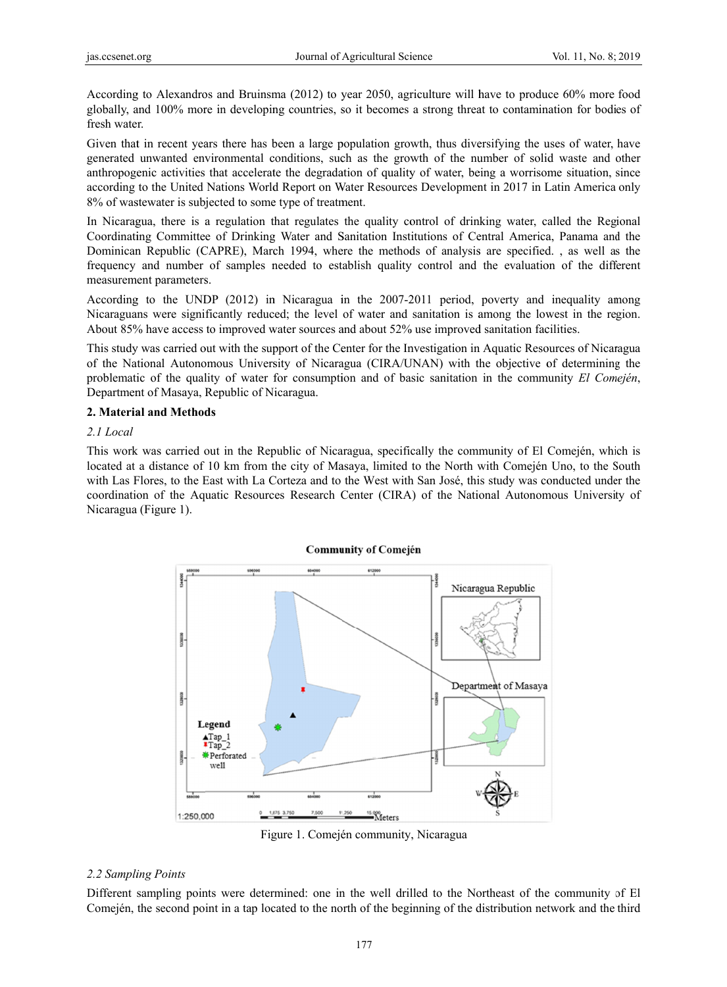According to Alexandros and Bruinsma (2012) to year 2050, agriculture will have to produce 60% more food globally, and 100% more in developing countries, so it becomes a strong threat to contamination for bodies of fresh water.

Given that in recent years there has been a large population growth, thus diversifying the uses of water, have generated unwanted environmental conditions, such as the growth of the number of solid waste and other anthropogenic activities that accelerate the degradation of quality of water, being a worrisome situation, since according to the United Nations World Report on Water Resources Development in 2017 in Latin America only 8% of wastewater is subjected to some type of treatment.

In Nicaragua, there is a regulation that regulates the quality control of drinking water, called the Regional Coordinating Committee of Drinking Water and Sanitation Institutions of Central America, Panama and the Dominican Republic (CAPRE), March 1994, where the methods of analysis are specified., as well as the frequency and number of samples needed to establish quality control and the evaluation of the different measurement parameters.

According to the UNDP (2012) in Nicaragua in the 2007-2011 period, poverty and inequality among Nicaraguans were significantly reduced; the level of water and sanitation is among the lowest in the region. About 85% have access to improved water sources and about 52% use improved sanitation facilities.

This study was carried out with the support of the Center for the Investigation in Aquatic Resources of Nicaragua of the National Autonomous University of Nicaragua (CIRA/UNAN) with the objective of determining the problematic of the quality of water for consumption and of basic sanitation in the community *El Comején*, Department of Masaya, Republic of Nicaragua.

### **2. Material and Methods**

#### *2.1 Local*

This work was carried out in the Republic of Nicaragua, specifically the community of El Comején, which is located at a distance of 10 km from the city of Masaya, limited to the North with Comején Uno, to the South with Las Flores, to the East with La Corteza and to the West with San José, this study was conducted under the coordination of the Aquatic Resources Research Center (CIRA) of the National Autonomous University of Nicaragua (Figure 1).

#### **Community of Comején**



Figure 1. Comején community, Nicaragua

#### *2.2 Sampli ing Points*

Different sampling points were determined: one in the well drilled to the Northeast of the community of El Comején, the second point in a tap located to the north of the beginning of the distribution network and the third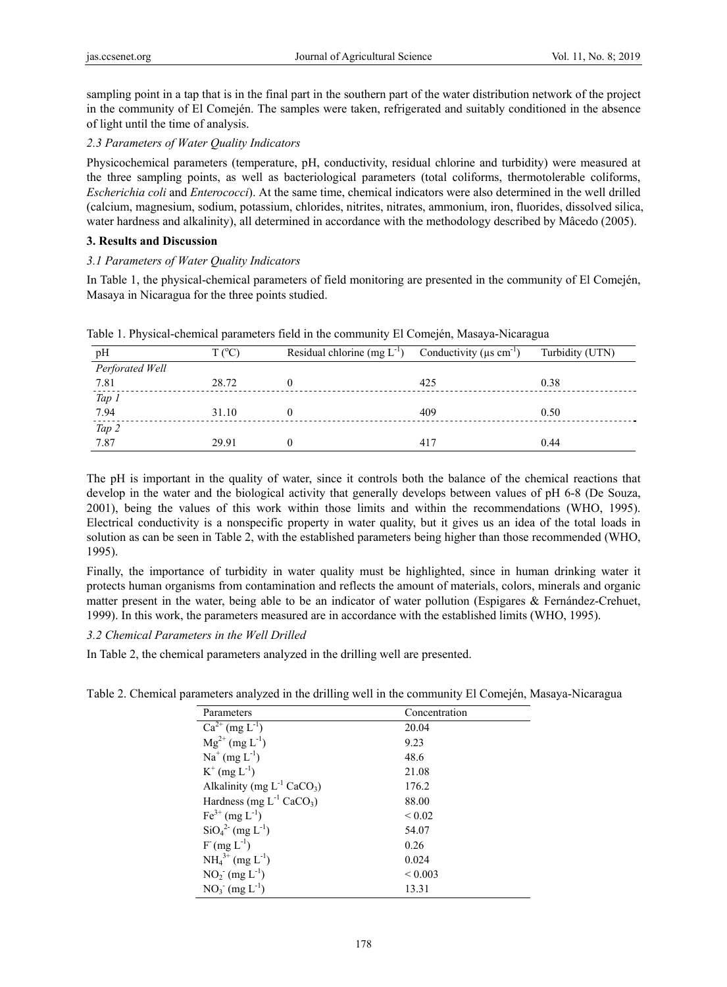sampling point in a tap that is in the final part in the southern part of the water distribution network of the project in the community of El Comején. The samples were taken, refrigerated and suitably conditioned in the absence of light until the time of analysis.

# *2.3 Parameters of Water Quality Indicators*

Physicochemical parameters (temperature, pH, conductivity, residual chlorine and turbidity) were measured at the three sampling points, as well as bacteriological parameters (total coliforms, thermotolerable coliforms, *Escherichia coli* and *Enterococci*). At the same time, chemical indicators were also determined in the well drilled (calcium, magnesium, sodium, potassium, chlorides, nitrites, nitrates, ammonium, iron, fluorides, dissolved silica, water hardness and alkalinity), all determined in accordance with the methodology described by Mâcedo (2005).

## **3. Results and Discussion**

## *3.1 Parameters of Water Quality Indicators*

In Table 1, the physical-chemical parameters of field monitoring are presented in the community of El Comején, Masaya in Nicaragua for the three points studied.

| pH              | $T(^{\circ}C)$ | Residual chlorine $(mg L-1)$ | Conductivity ( $\mu$ s cm <sup>-1</sup> ) | Turbidity (UTN) |
|-----------------|----------------|------------------------------|-------------------------------------------|-----------------|
| Perforated Well |                |                              |                                           |                 |
| 7.81            | 28.72          |                              | 425                                       | 0.38            |
| Tap 1           |                |                              |                                           |                 |
| 7.94            | 31.10          |                              | 409                                       | 0.50            |
| Tap 2           |                |                              |                                           |                 |
| 7.87            | 29.91          |                              | 417                                       | 0.44            |

Table 1. Physical-chemical parameters field in the community El Comején, Masaya-Nicaragua

The pH is important in the quality of water, since it controls both the balance of the chemical reactions that develop in the water and the biological activity that generally develops between values of pH 6-8 (De Souza, 2001), being the values of this work within those limits and within the recommendations (WHO, 1995). Electrical conductivity is a nonspecific property in water quality, but it gives us an idea of the total loads in solution as can be seen in Table 2, with the established parameters being higher than those recommended (WHO, 1995).

Finally, the importance of turbidity in water quality must be highlighted, since in human drinking water it protects human organisms from contamination and reflects the amount of materials, colors, minerals and organic matter present in the water, being able to be an indicator of water pollution (Espigares & Fernández-Crehuet, 1999). In this work, the parameters measured are in accordance with the established limits (WHO, 1995).

# *3.2 Chemical Parameters in the Well Drilled*

In Table 2, the chemical parameters analyzed in the drilling well are presented.

| Parameters                                  | Concentration |
|---------------------------------------------|---------------|
| $Ca^{2+}$ (mg $L^{-1}$ )                    | 20.04         |
| $Mg^{2+}$ (mg L <sup>-1</sup> )             | 9.23          |
| $Na^{+}$ (mg $L^{-1}$ )                     | 48.6          |
| $K^+$ (mg $L^{-1}$ )                        | 21.08         |
| Alkalinity (mg $L^{-1}$ CaCO <sub>3</sub> ) | 176.2         |
| Hardness (mg $L^{-1}$ CaCO <sub>3</sub> )   | 88.00         |
| $Fe^{3+}$ (mg L <sup>-1</sup> )             | ${}_{0.02}$   |
| $SiO42 (mg L-1)$                            | 54.07         |
| $F(mg L^{-1})$                              | 0.26          |
| $NH_4^{3+} (mg L^{-1})$                     | 0.024         |
| $NO2- (mg L-1)$                             | ${}_{0.003}$  |
| $NO_3^-$ (mg $L^{-1}$ )                     | 13.31         |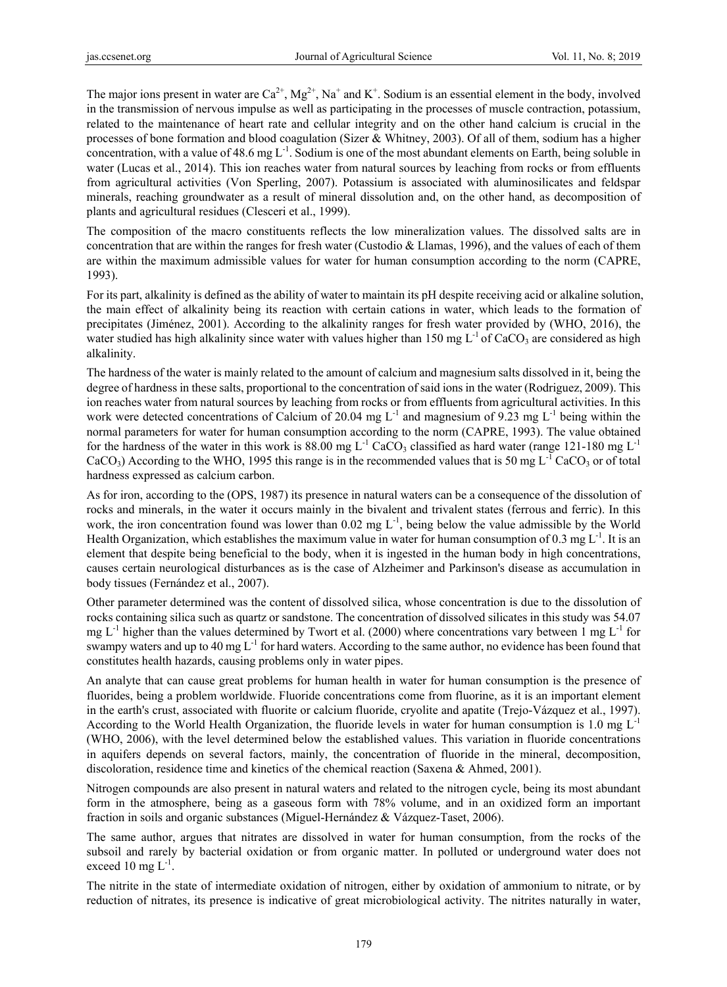The major ions present in water are  $Ca^{2+}$ ,  $Mg^{2+}$ , Na<sup>+</sup> and K<sup>+</sup>. Sodium is an essential element in the body, involved in the transmission of nervous impulse as well as participating in the processes of muscle contraction, potassium, related to the maintenance of heart rate and cellular integrity and on the other hand calcium is crucial in the processes of bone formation and blood coagulation (Sizer & Whitney, 2003). Of all of them, sodium has a higher concentration, with a value of 48.6 mg  $L^{-1}$ . Sodium is one of the most abundant elements on Earth, being soluble in water (Lucas et al., 2014). This ion reaches water from natural sources by leaching from rocks or from effluents from agricultural activities (Von Sperling, 2007). Potassium is associated with aluminosilicates and feldspar minerals, reaching groundwater as a result of mineral dissolution and, on the other hand, as decomposition of plants and agricultural residues (Clesceri et al., 1999).

The composition of the macro constituents reflects the low mineralization values. The dissolved salts are in concentration that are within the ranges for fresh water (Custodio & Llamas, 1996), and the values of each of them are within the maximum admissible values for water for human consumption according to the norm (CAPRE, 1993).

For its part, alkalinity is defined as the ability of water to maintain its pH despite receiving acid or alkaline solution, the main effect of alkalinity being its reaction with certain cations in water, which leads to the formation of precipitates (Jiménez, 2001). According to the alkalinity ranges for fresh water provided by (WHO, 2016), the water studied has high alkalinity since water with values higher than 150 mg  $L^{-1}$  of CaCO<sub>3</sub> are considered as high alkalinity.

The hardness of the water is mainly related to the amount of calcium and magnesium salts dissolved in it, being the degree of hardness in these salts, proportional to the concentration of said ions in the water (Rodriguez, 2009). This ion reaches water from natural sources by leaching from rocks or from effluents from agricultural activities. In this work were detected concentrations of Calcium of 20.04 mg  $L^{-1}$  and magnesium of 9.23 mg  $L^{-1}$  being within the normal parameters for water for human consumption according to the norm (CAPRE, 1993). The value obtained for the hardness of the water in this work is 88.00 mg  $L^{-1}$  CaCO<sub>3</sub> classified as hard water (range 121-180 mg  $L^{-1}$ CaCO<sub>3</sub>) According to the WHO, 1995 this range is in the recommended values that is 50 mg  $L^{-1}$  CaCO<sub>3</sub> or of total hardness expressed as calcium carbon.

As for iron, according to the (OPS, 1987) its presence in natural waters can be a consequence of the dissolution of rocks and minerals, in the water it occurs mainly in the bivalent and trivalent states (ferrous and ferric). In this work, the iron concentration found was lower than  $0.02 \text{ mg L}^1$ , being below the value admissible by the World Health Organization, which establishes the maximum value in water for human consumption of 0.3 mg  $L^{-1}$ . It is an element that despite being beneficial to the body, when it is ingested in the human body in high concentrations, causes certain neurological disturbances as is the case of Alzheimer and Parkinson's disease as accumulation in body tissues (Fernández et al., 2007).

Other parameter determined was the content of dissolved silica, whose concentration is due to the dissolution of rocks containing silica such as quartz or sandstone. The concentration of dissolved silicates in this study was 54.07 mg  $L^{-1}$  higher than the values determined by Twort et al. (2000) where concentrations vary between 1 mg  $L^{-1}$  for swampy waters and up to 40 mg  $L^{-1}$  for hard waters. According to the same author, no evidence has been found that constitutes health hazards, causing problems only in water pipes.

An analyte that can cause great problems for human health in water for human consumption is the presence of fluorides, being a problem worldwide. Fluoride concentrations come from fluorine, as it is an important element in the earth's crust, associated with fluorite or calcium fluoride, cryolite and apatite (Trejo-Vázquez et al., 1997). According to the World Health Organization, the fluoride levels in water for human consumption is 1.0 mg  $L^{-1}$ (WHO, 2006), with the level determined below the established values. This variation in fluoride concentrations in aquifers depends on several factors, mainly, the concentration of fluoride in the mineral, decomposition, discoloration, residence time and kinetics of the chemical reaction (Saxena & Ahmed, 2001).

Nitrogen compounds are also present in natural waters and related to the nitrogen cycle, being its most abundant form in the atmosphere, being as a gaseous form with 78% volume, and in an oxidized form an important fraction in soils and organic substances (Miguel-Hernández & Vázquez-Taset, 2006).

The same author, argues that nitrates are dissolved in water for human consumption, from the rocks of the subsoil and rarely by bacterial oxidation or from organic matter. In polluted or underground water does not exceed 10 mg  $L^{-1}$ .

The nitrite in the state of intermediate oxidation of nitrogen, either by oxidation of ammonium to nitrate, or by reduction of nitrates, its presence is indicative of great microbiological activity. The nitrites naturally in water,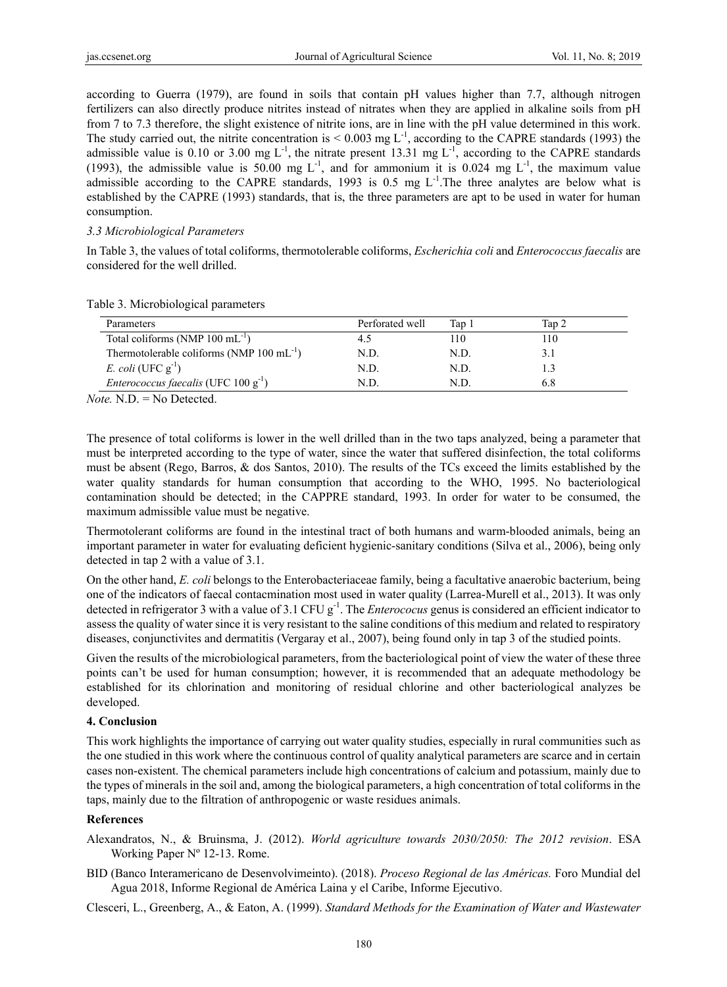according to Guerra (1979), are found in soils that contain pH values higher than 7.7, although nitrogen fertilizers can also directly produce nitrites instead of nitrates when they are applied in alkaline soils from pH from 7 to 7.3 therefore, the slight existence of nitrite ions, are in line with the pH value determined in this work. The study carried out, the nitrite concentration is  $< 0.003$  mg L<sup>-1</sup>, according to the CAPRE standards (1993) the admissible value is 0.10 or 3.00 mg  $L^{-1}$ , the nitrate present 13.31 mg  $L^{-1}$ , according to the CAPRE standards (1993), the admissible value is 50.00 mg  $L^{-1}$ , and for ammonium it is 0.024 mg  $L^{-1}$ , the maximum value admissible according to the CAPRE standards, 1993 is 0.5 mg  $L^{-1}$ . The three analytes are below what is established by the CAPRE (1993) standards, that is, the three parameters are apt to be used in water for human consumption.

#### *3.3 Microbiological Parameters*

In Table 3, the values of total coliforms, thermotolerable coliforms, *Escherichia coli* and *Enterococcus faecalis* are considered for the well drilled.

| Perforated well | Tap 1 | Tap 2 |  |
|-----------------|-------|-------|--|
| 4.5             | 110   | 110   |  |
| N.D.            | N.D.  |       |  |
| N.D.            | N.D.  |       |  |
| N D.            | N D   | 6.8   |  |
|                 |       |       |  |

Table 3. Microbiological parameters

*Note.* N.D. = No Detected.

The presence of total coliforms is lower in the well drilled than in the two taps analyzed, being a parameter that must be interpreted according to the type of water, since the water that suffered disinfection, the total coliforms must be absent (Rego, Barros, & dos Santos, 2010). The results of the TCs exceed the limits established by the water quality standards for human consumption that according to the WHO, 1995. No bacteriological contamination should be detected; in the CAPPRE standard, 1993. In order for water to be consumed, the maximum admissible value must be negative.

Thermotolerant coliforms are found in the intestinal tract of both humans and warm-blooded animals, being an important parameter in water for evaluating deficient hygienic-sanitary conditions (Silva et al., 2006), being only detected in tap 2 with a value of 3.1.

On the other hand, *E. coli* belongs to the Enterobacteriaceae family, being a facultative anaerobic bacterium, being one of the indicators of faecal contacmination most used in water quality (Larrea-Murell et al., 2013). It was only detected in refrigerator 3 with a value of 3.1 CFU g<sup>-1</sup>. The *Enterococus* genus is considered an efficient indicator to assess the quality of water since it is very resistant to the saline conditions of this medium and related to respiratory diseases, conjunctivites and dermatitis (Vergaray et al., 2007), being found only in tap 3 of the studied points.

Given the results of the microbiological parameters, from the bacteriological point of view the water of these three points can't be used for human consumption; however, it is recommended that an adequate methodology be established for its chlorination and monitoring of residual chlorine and other bacteriological analyzes be developed.

#### **4. Conclusion**

This work highlights the importance of carrying out water quality studies, especially in rural communities such as the one studied in this work where the continuous control of quality analytical parameters are scarce and in certain cases non-existent. The chemical parameters include high concentrations of calcium and potassium, mainly due to the types of minerals in the soil and, among the biological parameters, a high concentration of total coliforms in the taps, mainly due to the filtration of anthropogenic or waste residues animals.

#### **References**

- Alexandratos, N., & Bruinsma, J. (2012). *World agriculture towards 2030/2050: The 2012 revision*. ESA Working Paper Nº 12-13. Rome.
- BID (Banco Interamericano de Desenvolvimeinto). (2018). *Proceso Regional de las Américas.* Foro Mundial del Agua 2018, Informe Regional de América Laina y el Caribe, Informe Ejecutivo.

Clesceri, L., Greenberg, A., & Eaton, A. (1999). *Standard Methods for the Examination of Water and Wastewater*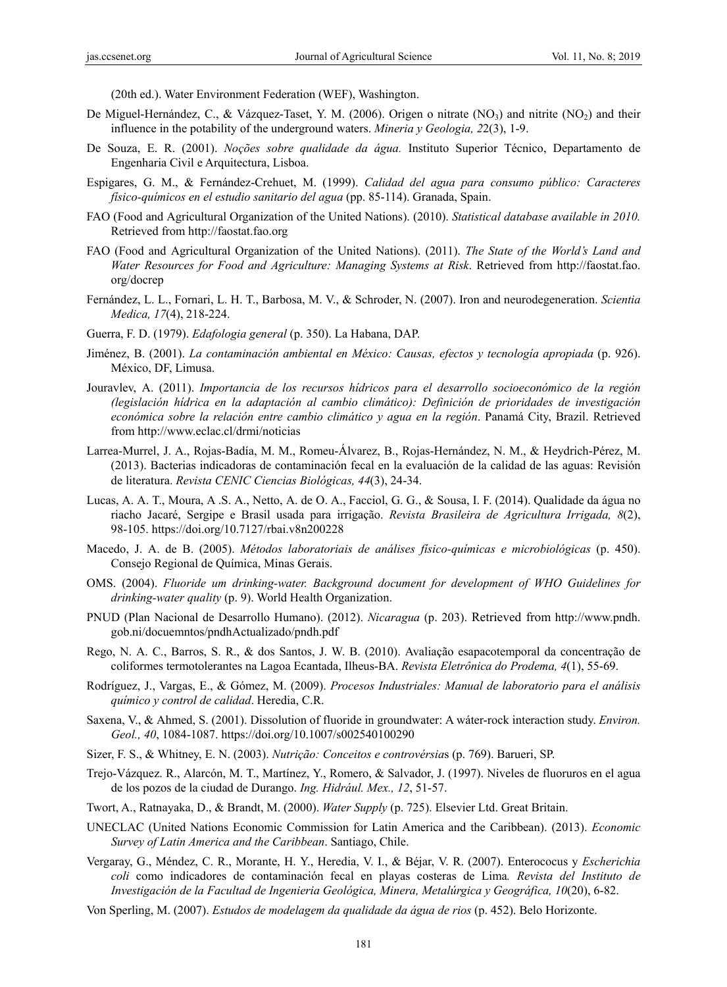(20th ed.). Water Environment Federation (WEF), Washington.

- De Miguel-Hernández, C., & Vázquez-Taset, Y. M. (2006). Origen o nitrate  $(NO_3)$  and nitrite  $(NO_2)$  and their influence in the potability of the underground waters. *Mineria y Geologia, 2*2(3), 1-9.
- De Souza, E. R. (2001). *Noções sobre qualidade da água.* Instituto Superior Técnico, Departamento de Engenharia Civil e Arquitectura, Lisboa.
- Espigares, G. M., & Fernández-Crehuet, M. (1999). *Calidad del agua para consumo público: Caracteres físico-químicos en el estudio sanitario del agua* (pp. 85-114). Granada, Spain.
- FAO (Food and Agricultural Organization of the United Nations). (2010). *Statistical database available in 2010.* Retrieved from http://faostat.fao.org
- FAO (Food and Agricultural Organization of the United Nations). (2011). *The State of the World's Land and Water Resources for Food and Agriculture: Managing Systems at Risk*. Retrieved from http://faostat.fao. org/docrep
- Fernández, L. L., Fornari, L. H. T., Barbosa, M. V., & Schroder, N. (2007). Iron and neurodegeneration. *Scientia Medica, 17*(4), 218-224.
- Guerra, F. D. (1979). *Edafologia general* (p. 350). La Habana, DAP.
- Jiménez, B. (2001). *La contaminación ambiental en México: Causas, efectos y tecnología apropiada* (p. 926). México, DF, Limusa.
- Jouravlev, A. (2011). *Importancia de los recursos hídricos para el desarrollo socioeconómico de la región (legislación hídrica en la adaptación al cambio climático): Definición de prioridades de investigación económica sobre la relación entre cambio climático y agua en la región*. Panamá City, Brazil. Retrieved from http://www.eclac.cl/drmi/noticias
- Larrea-Murrel, J. A., Rojas-Badía, M. M., Romeu-Álvarez, B., Rojas-Hernández, N. M., & Heydrich-Pérez, M. (2013). Bacterias indicadoras de contaminación fecal en la evaluación de la calidad de las aguas: Revisión de literatura. *Revista CENIC Ciencias Biológicas, 44*(3), 24-34.
- Lucas, A. A. T., Moura, A .S. A., Netto, A. de O. A., Facciol, G. G., & Sousa, I. F. (2014). Qualidade da água no riacho Jacaré, Sergipe e Brasil usada para irrigação. *Revista Brasileira de Agricultura Irrigada, 8*(2), 98-105. https://doi.org/10.7127/rbai.v8n200228
- Macedo, J. A. de B. (2005). *Métodos laboratoriais de análises físico-químicas e microbiológicas* (p. 450). Consejo Regional de Química, Minas Gerais.
- OMS. (2004). *Fluoride um drinking-water. Background document for development of WHO Guidelines for drinking-water quality* (p. 9). World Health Organization.
- PNUD (Plan Nacional de Desarrollo Humano). (2012). *Nicaragua* (p. 203). Retrieved from http://www.pndh. gob.ni/docuemntos/pndhActualizado/pndh.pdf
- Rego, N. A. C., Barros, S. R., & dos Santos, J. W. B. (2010). Avaliação esapacotemporal da concentração de coliformes termotolerantes na Lagoa Ecantada, Ilheus-BA. *Revista Eletrônica do Prodema, 4*(1), 55-69.
- Rodríguez, J., Vargas, E., & Gómez, M. (2009). *Procesos Industriales: Manual de laboratorio para el análisis químico y control de calidad*. Heredia, C.R.
- Saxena, V., & Ahmed, S. (2001). Dissolution of fluoride in groundwater: A wáter-rock interaction study. *Environ. Geol., 40*, 1084-1087. https://doi.org/10.1007/s002540100290
- Sizer, F. S., & Whitney, E. N. (2003). *Nutrição: Conceitos e controvérsia*s (p. 769). Barueri, SP.
- Trejo-Vázquez. R., Alarcón, M. T., Martínez, Y., Romero, & Salvador, J. (1997). Niveles de fluoruros en el agua de los pozos de la ciudad de Durango. *Ing. Hidrául. Mex., 12*, 51-57.
- Twort, A., Ratnayaka, D., & Brandt, M. (2000). *Water Supply* (p. 725). Elsevier Ltd. Great Britain.
- UNECLAC (United Nations Economic Commission for Latin America and the Caribbean). (2013). *Economic Survey of Latin America and the Caribbean*. Santiago, Chile.
- Vergaray, G., Méndez, C. R., Morante, H. Y., Heredia, V. I., & Béjar, V. R. (2007). Enterococus y *Escherichia coli* como indicadores de contaminación fecal en playas costeras de Lima*. Revista del Instituto de Investigación de la Facultad de Ingenieria Geológica, Minera, Metalúrgica y Geográfica, 10*(20), 6-82.
- Von Sperling, M. (2007). *Estudos de modelagem da qualidade da água de rios* (p. 452). Belo Horizonte.